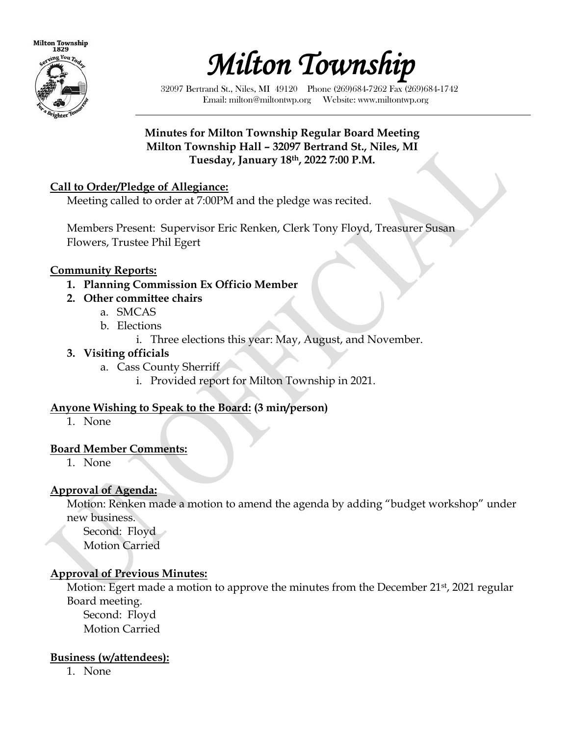



32097 Bertrand St., Niles, MI 49120 Phone (269)684-7262 Fax (269)684-1742 Email: milton@miltontwp.org Website: www.miltontwp.org

### **Minutes for Milton Township Regular Board Meeting Milton Township Hall – 32097 Bertrand St., Niles, MI Tuesday, January 18th, 2022 7:00 P.M.**

### **Call to Order/Pledge of Allegiance:**

Meeting called to order at 7:00PM and the pledge was recited.

Members Present: Supervisor Eric Renken, Clerk Tony Floyd, Treasurer Susan Flowers, Trustee Phil Egert

#### **Community Reports:**

- **1. Planning Commission Ex Officio Member**
- **2. Other committee chairs**
	- a. SMCAS
	- b. Elections
		- i. Three elections this year: May, August, and November.

#### **3. Visiting officials**

- a. Cass County Sherriff
	- i. Provided report for Milton Township in 2021.

#### **Anyone Wishing to Speak to the Board: (3 min/person)**

1. None

#### **Board Member Comments:**

1. None

### **Approval of Agenda:**

Motion: Renken made a motion to amend the agenda by adding "budget workshop" under new business.

 Second: Floyd Motion Carried

### **Approval of Previous Minutes:**

Motion: Egert made a motion to approve the minutes from the December 21<sup>st</sup>, 2021 regular Board meeting.

Second: Floyd Motion Carried

#### **Business (w/attendees):**

1. None